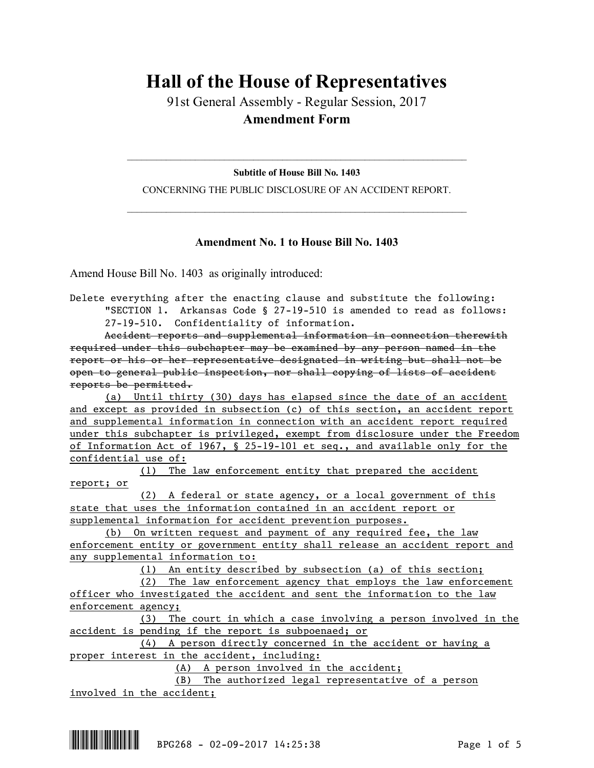## **Hall of the House of Representatives**

91st General Assembly - Regular Session, 2017 **Amendment Form**

 $\mathcal{L}_\text{max}$  and  $\mathcal{L}_\text{max}$  and  $\mathcal{L}_\text{max}$  and  $\mathcal{L}_\text{max}$  and  $\mathcal{L}_\text{max}$  and  $\mathcal{L}_\text{max}$ **Subtitle of House Bill No. 1403**

CONCERNING THE PUBLIC DISCLOSURE OF AN ACCIDENT REPORT.  $\mathcal{L}_\text{max}$  and  $\mathcal{L}_\text{max}$  and  $\mathcal{L}_\text{max}$  and  $\mathcal{L}_\text{max}$  and  $\mathcal{L}_\text{max}$  and  $\mathcal{L}_\text{max}$ 

## **Amendment No. 1 to House Bill No. 1403**

Amend House Bill No. 1403 as originally introduced:

Accident reports and supplemental information in connection therewith required under this subchapter may be examined by any person named in the report or his or her representative designated in writing but shall not be open to general public inspection, nor shall copying of lists of accident reports be permitted.

(a) Until thirty (30) days has elapsed since the date of an accident and except as provided in subsection (c) of this section, an accident report and supplemental information in connection with an accident report required under this subchapter is privileged, exempt from disclosure under the Freedom of Information Act of 1967, § 25-19-101 et seq., and available only for the confidential use of:

(1) The law enforcement entity that prepared the accident report; or

(2) A federal or state agency, or a local government of this state that uses the information contained in an accident report or supplemental information for accident prevention purposes.

(b) On written request and payment of any required fee, the law enforcement entity or government entity shall release an accident report and any supplemental information to:

(1) An entity described by subsection (a) of this section;

(2) The law enforcement agency that employs the law enforcement officer who investigated the accident and sent the information to the law enforcement agency;

(3) The court in which a case involving a person involved in the accident is pending if the report is subpoenaed; or

(4) A person directly concerned in the accident or having a proper interest in the accident, including:

(A) A person involved in the accident;

(B) The authorized legal representative of a person involved in the accident;

Delete everything after the enacting clause and substitute the following: "SECTION 1. Arkansas Code § 27-19-510 is amended to read as follows: 27-19-510. Confidentiality of information.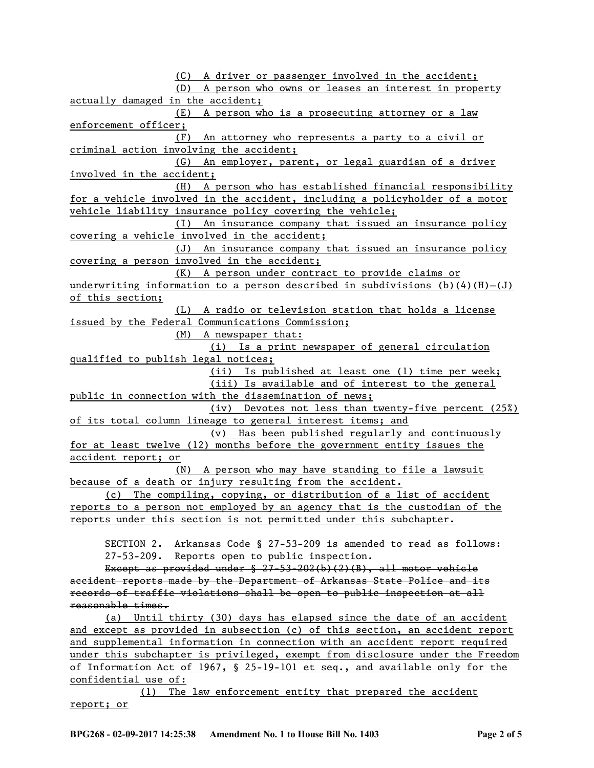(C) A driver or passenger involved in the accident; (D) A person who owns or leases an interest in property actually damaged in the accident; (E) A person who is a prosecuting attorney or a law enforcement officer; (F) An attorney who represents a party to a civil or criminal action involving the accident; (G) An employer, parent, or legal guardian of a driver involved in the accident; (H) A person who has established financial responsibility for a vehicle involved in the accident, including a policyholder of a motor vehicle liability insurance policy covering the vehicle; (I) An insurance company that issued an insurance policy covering a vehicle involved in the accident; (J) An insurance company that issued an insurance policy covering a person involved in the accident; (K) A person under contract to provide claims or underwriting information to a person described in subdivisions (b)(4)(H)-(J) of this section; (L) A radio or television station that holds a license issued by the Federal Communications Commission; (M) A newspaper that: (i) Is a print newspaper of general circulation qualified to publish legal notices; (ii) Is published at least one (1) time per week; (iii) Is available and of interest to the general public in connection with the dissemination of news; (iv) Devotes not less than twenty-five percent (25%) of its total column lineage to general interest items; and (v) Has been published regularly and continuously for at least twelve (12) months before the government entity issues the accident report; or (N) A person who may have standing to file a lawsuit because of a death or injury resulting from the accident. (c) The compiling, copying, or distribution of a list of accident reports to a person not employed by an agency that is the custodian of the reports under this section is not permitted under this subchapter. SECTION 2. Arkansas Code § 27-53-209 is amended to read as follows: 27-53-209. Reports open to public inspection. Except as provided under  $$$  27-53-202(b)(2)(B), all motor vehicle accident reports made by the Department of Arkansas State Police and its records of traffic violations shall be open to public inspection at all reasonable times.

(a) Until thirty (30) days has elapsed since the date of an accident and except as provided in subsection (c) of this section, an accident report and supplemental information in connection with an accident report required under this subchapter is privileged, exempt from disclosure under the Freedom of Information Act of 1967, § 25-19-101 et seq., and available only for the confidential use of:

(1) The law enforcement entity that prepared the accident report; or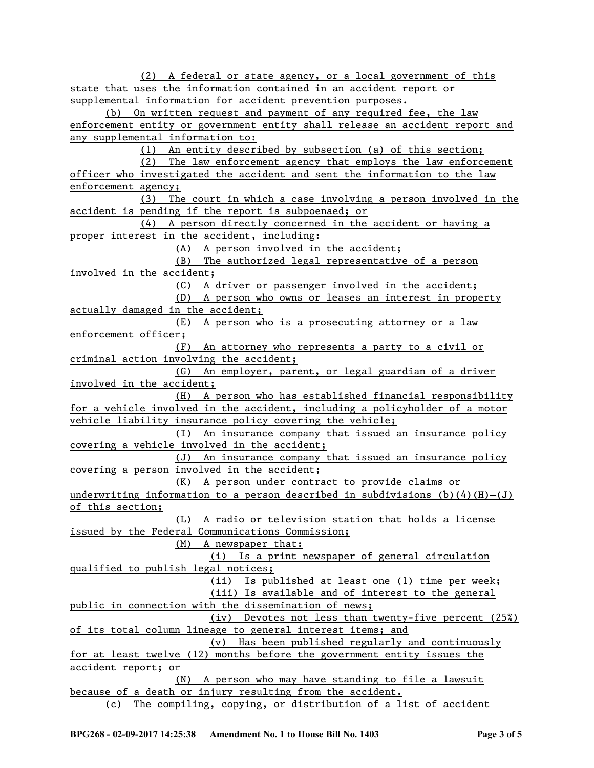(2) A federal or state agency, or a local government of this state that uses the information contained in an accident report or supplemental information for accident prevention purposes. (b) On written request and payment of any required fee, the law enforcement entity or government entity shall release an accident report and any supplemental information to: (1) An entity described by subsection (a) of this section; (2) The law enforcement agency that employs the law enforcement officer who investigated the accident and sent the information to the law enforcement agency; (3) The court in which a case involving a person involved in the accident is pending if the report is subpoenaed; or (4) A person directly concerned in the accident or having a proper interest in the accident, including: (A) A person involved in the accident; (B) The authorized legal representative of a person involved in the accident; (C) A driver or passenger involved in the accident; (D) A person who owns or leases an interest in property actually damaged in the accident; (E) A person who is a prosecuting attorney or a law enforcement officer; (F) An attorney who represents a party to a civil or criminal action involving the accident; (G) An employer, parent, or legal guardian of a driver involved in the accident; (H) A person who has established financial responsibility for a vehicle involved in the accident, including a policyholder of a motor vehicle liability insurance policy covering the vehicle; (I) An insurance company that issued an insurance policy covering a vehicle involved in the accident; (J) An insurance company that issued an insurance policy covering a person involved in the accident; (K) A person under contract to provide claims or underwriting information to a person described in subdivisions (b)(4)(H)-(J) of this section; (L) A radio or television station that holds a license issued by the Federal Communications Commission; (M) A newspaper that: (i) Is a print newspaper of general circulation qualified to publish legal notices; (ii) Is published at least one (1) time per week; (iii) Is available and of interest to the general public in connection with the dissemination of news; (iv) Devotes not less than twenty-five percent (25%) of its total column lineage to general interest items; and (v) Has been published regularly and continuously for at least twelve (12) months before the government entity issues the accident report; or (N) A person who may have standing to file a lawsuit because of a death or injury resulting from the accident. (c) The compiling, copying, or distribution of a list of accident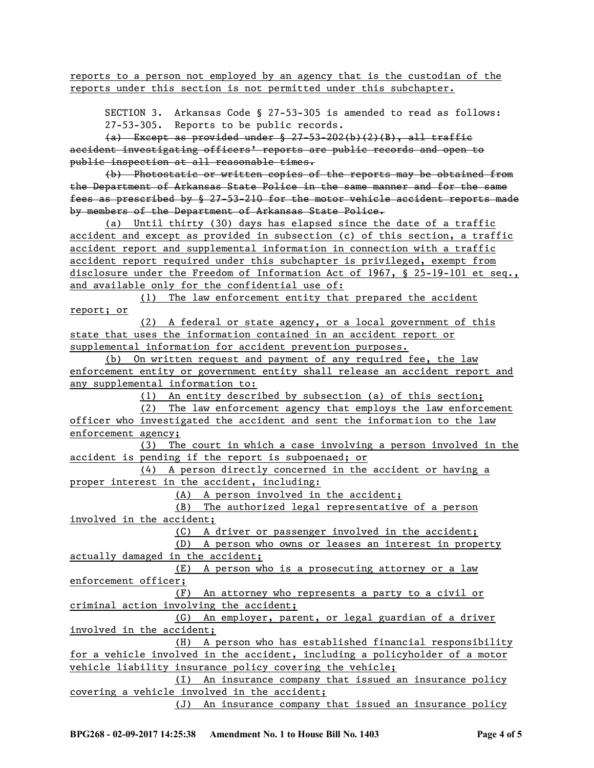reports to a person not employed by an agency that is the custodian of the reports under this section is not permitted under this subchapter.

SECTION 3. Arkansas Code § 27-53-305 is amended to read as follows: 27-53-305. Reports to be public records.

 $(a)$  Except as provided under  $\frac{27-53-202(b)(2)(B)}{2}$ , all traffie accident investigating officers' reports are public records and open to public inspection at all reasonable times.

(b) Photostatic or written copies of the reports may be obtained from the Department of Arkansas State Police in the same manner and for the same fees as prescribed by § 27-53-210 for the motor vehicle accident reports made by members of the Department of Arkansas State Police.

(a) Until thirty (30) days has elapsed since the date of a traffic accident and except as provided in subsection (c) of this section, a traffic accident report and supplemental information in connection with a traffic accident report required under this subchapter is privileged, exempt from disclosure under the Freedom of Information Act of 1967, § 25-19-101 et seq., and available only for the confidential use of:

(1) The law enforcement entity that prepared the accident report; or

(2) A federal or state agency, or a local government of this state that uses the information contained in an accident report or supplemental information for accident prevention purposes.

(b) On written request and payment of any required fee, the law enforcement entity or government entity shall release an accident report and any supplemental information to:

(1) An entity described by subsection (a) of this section;

(2) The law enforcement agency that employs the law enforcement officer who investigated the accident and sent the information to the law enforcement agency;

(3) The court in which a case involving a person involved in the accident is pending if the report is subpoenaed; or

(4) A person directly concerned in the accident or having a proper interest in the accident, including:

(A) A person involved in the accident;

(B) The authorized legal representative of a person involved in the accident;

(C) A driver or passenger involved in the accident;

(D) A person who owns or leases an interest in property actually damaged in the accident;

(E) A person who is a prosecuting attorney or a law enforcement officer;

(F) An attorney who represents a party to a civil or criminal action involving the accident;

(G) An employer, parent, or legal guardian of a driver involved in the accident;

(H) A person who has established financial responsibility for a vehicle involved in the accident, including a policyholder of a motor vehicle liability insurance policy covering the vehicle;

(I) An insurance company that issued an insurance policy covering a vehicle involved in the accident;

(J) An insurance company that issued an insurance policy